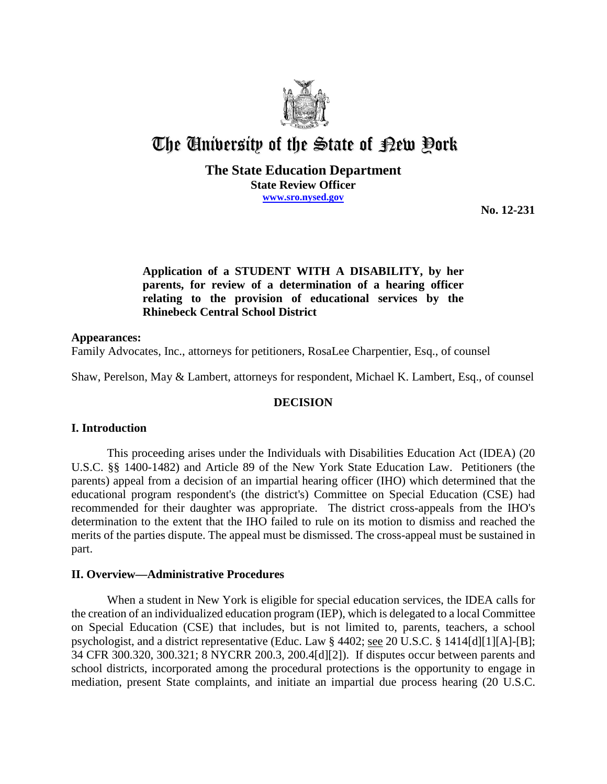

# The University of the State of Pew Pork

## **The State Education Department State Review Officer www.sro.nysed.gov**

**No. 12-231**

# **Application of a STUDENT WITH A DISABILITY, by her parents, for review of a determination of a hearing officer relating to the provision of educational services by the Rhinebeck Central School District**

## **Appearances:**

Family Advocates, Inc., attorneys for petitioners, RosaLee Charpentier, Esq., of counsel

Shaw, Perelson, May & Lambert, attorneys for respondent, Michael K. Lambert, Esq., of counsel

## **DECISION**

## **I. Introduction**

This proceeding arises under the Individuals with Disabilities Education Act (IDEA) (20 U.S.C. §§ 1400-1482) and Article 89 of the New York State Education Law. Petitioners (the parents) appeal from a decision of an impartial hearing officer (IHO) which determined that the educational program respondent's (the district's) Committee on Special Education (CSE) had recommended for their daughter was appropriate. The district cross-appeals from the IHO's determination to the extent that the IHO failed to rule on its motion to dismiss and reached the merits of the parties dispute. The appeal must be dismissed. The cross-appeal must be sustained in part.

## **II. Overview—Administrative Procedures**

When a student in New York is eligible for special education services, the IDEA calls for the creation of an individualized education program (IEP), which is delegated to a local Committee on Special Education (CSE) that includes, but is not limited to, parents, teachers, a school psychologist, and a district representative (Educ. Law § 4402; see 20 U.S.C. § 1414[d][1][A]-[B]; 34 CFR 300.320, 300.321; 8 NYCRR 200.3, 200.4[d][2]). If disputes occur between parents and school districts, incorporated among the procedural protections is the opportunity to engage in mediation, present State complaints, and initiate an impartial due process hearing (20 U.S.C.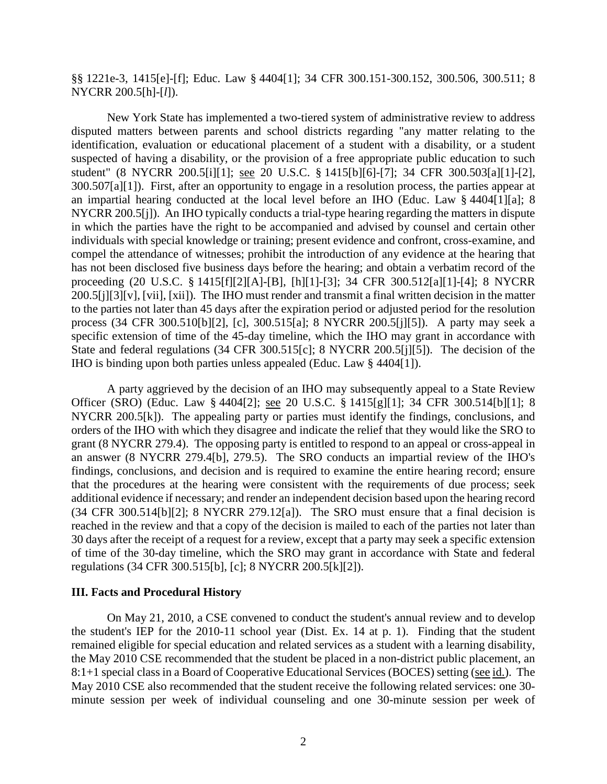§§ 1221e-3, 1415[e]-[f]; Educ. Law § 4404[1]; 34 CFR 300.151-300.152, 300.506, 300.511; 8 NYCRR 200.5[h]-[*l*]).

New York State has implemented a two-tiered system of administrative review to address disputed matters between parents and school districts regarding "any matter relating to the identification, evaluation or educational placement of a student with a disability, or a student suspected of having a disability, or the provision of a free appropriate public education to such student" (8 NYCRR 200.5[i][1]; see 20 U.S.C. § 1415[b][6]-[7]; 34 CFR 300.503[a][1]-[2], 300.507[a][1]). First, after an opportunity to engage in a resolution process, the parties appear at an impartial hearing conducted at the local level before an IHO (Educ. Law § 4404[1][a]; 8 NYCRR 200.5[j]). An IHO typically conducts a trial-type hearing regarding the matters in dispute in which the parties have the right to be accompanied and advised by counsel and certain other individuals with special knowledge or training; present evidence and confront, cross-examine, and compel the attendance of witnesses; prohibit the introduction of any evidence at the hearing that has not been disclosed five business days before the hearing; and obtain a verbatim record of the proceeding (20 U.S.C. § 1415[f][2][A]-[B], [h][1]-[3]; 34 CFR 300.512[a][1]-[4]; 8 NYCRR 200.5[j][3][v], [vii], [xii]). The IHO must render and transmit a final written decision in the matter to the parties not later than 45 days after the expiration period or adjusted period for the resolution process (34 CFR 300.510[b][2], [c], 300.515[a]; 8 NYCRR 200.5[j][5]). A party may seek a specific extension of time of the 45-day timeline, which the IHO may grant in accordance with State and federal regulations (34 CFR 300.515[c]; 8 NYCRR 200.5[j][5]). The decision of the IHO is binding upon both parties unless appealed (Educ. Law § 4404[1]).

A party aggrieved by the decision of an IHO may subsequently appeal to a State Review Officer (SRO) (Educ. Law § 4404[2]; see 20 U.S.C. § 1415[g][1]; 34 CFR 300.514[b][1]; 8 NYCRR 200.5[k]). The appealing party or parties must identify the findings, conclusions, and orders of the IHO with which they disagree and indicate the relief that they would like the SRO to grant (8 NYCRR 279.4). The opposing party is entitled to respond to an appeal or cross-appeal in an answer (8 NYCRR 279.4[b], 279.5). The SRO conducts an impartial review of the IHO's findings, conclusions, and decision and is required to examine the entire hearing record; ensure that the procedures at the hearing were consistent with the requirements of due process; seek additional evidence if necessary; and render an independent decision based upon the hearing record (34 CFR 300.514[b][2]; 8 NYCRR 279.12[a]). The SRO must ensure that a final decision is reached in the review and that a copy of the decision is mailed to each of the parties not later than 30 days after the receipt of a request for a review, except that a party may seek a specific extension of time of the 30-day timeline, which the SRO may grant in accordance with State and federal regulations (34 CFR 300.515[b], [c]; 8 NYCRR 200.5[k][2]).

#### **III. Facts and Procedural History**

On May 21, 2010, a CSE convened to conduct the student's annual review and to develop the student's IEP for the 2010-11 school year (Dist. Ex. 14 at p. 1). Finding that the student remained eligible for special education and related services as a student with a learning disability, the May 2010 CSE recommended that the student be placed in a non-district public placement, an 8:1+1 special class in a Board of Cooperative Educational Services (BOCES) setting (see id.). The May 2010 CSE also recommended that the student receive the following related services: one 30 minute session per week of individual counseling and one 30-minute session per week of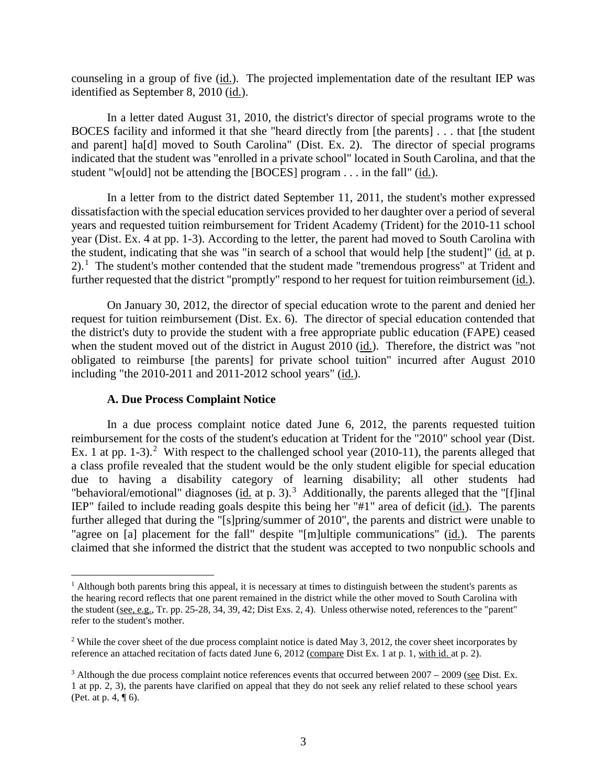counseling in a group of five (id.). The projected implementation date of the resultant IEP was identified as September 8, 2010 (id.).

In a letter dated August 31, 2010, the district's director of special programs wrote to the BOCES facility and informed it that she "heard directly from [the parents] . . . that [the student and parent] ha[d] moved to South Carolina" (Dist. Ex. 2). The director of special programs indicated that the student was "enrolled in a private school" located in South Carolina, and that the student "w[ould] not be attending the [BOCES] program . . . in the fall" (id.).

In a letter from to the district dated September 11, 2011, the student's mother expressed dissatisfaction with the special education services provided to her daughter over a period of several years and requested tuition reimbursement for Trident Academy (Trident) for the 2010-11 school year (Dist. Ex. 4 at pp. 1-3). According to the letter, the parent had moved to South Carolina with the student, indicating that she was "in search of a school that would help [the student]" (id. at p.  $2)$ .<sup>1</sup> The student's mother contended that the student made "tremendous progress" at Trident and further requested that the district "promptly" respond to her request for tuition reimbursement (id.).

On January 30, 2012, the director of special education wrote to the parent and denied her request for tuition reimbursement (Dist. Ex. 6). The director of special education contended that the district's duty to provide the student with a free appropriate public education (FAPE) ceased when the student moved out of the district in August 2010 (id.). Therefore, the district was "not obligated to reimburse [the parents] for private school tuition" incurred after August 2010 including "the 2010-2011 and 2011-2012 school years" (id.).

#### **A. Due Process Complaint Notice**

In a due process complaint notice dated June 6, 2012, the parents requested tuition reimbursement for the costs of the student's education at Trident for the "2010" school year (Dist. Ex. 1 at pp. 1-3).<sup>2</sup> With respect to the challenged school year  $(2010-11)$ , the parents alleged that a class profile revealed that the student would be the only student eligible for special education due to having a disability category of learning disability; all other students had "behavioral/emotional" diagnoses  $(id$  at p. 3).<sup>3</sup> Additionally, the parents alleged that the "[f]inal IEP" failed to include reading goals despite this being her "#1" area of deficit (id.). The parents further alleged that during the "[s]pring/summer of 2010", the parents and district were unable to "agree on [a] placement for the fall" despite "[m]ultiple communications" (id.). The parents claimed that she informed the district that the student was accepted to two nonpublic schools and

 $<sup>1</sup>$  Although both parents bring this appeal, it is necessary at times to distinguish between the student's parents as</sup> the hearing record reflects that one parent remained in the district while the other moved to South Carolina with the student ( $\underline{\text{see, e.g.}}$ , Tr. pp. 25-28, 34, 39, 42; Dist Exs. 2, 4). Unless otherwise noted, references to the "parent" refer to the student's mother.

<sup>&</sup>lt;sup>2</sup> While the cover sheet of the due process complaint notice is dated May 3, 2012, the cover sheet incorporates by reference an attached recitation of facts dated June 6, 2012 (compare Dist Ex. 1 at p. 1, with id. at p. 2).

<sup>3</sup> Although the due process complaint notice references events that occurred between 2007 – 2009 (see Dist. Ex. 1 at pp. 2, 3), the parents have clarified on appeal that they do not seek any relief related to these school years (Pet. at p. 4, ¶ 6).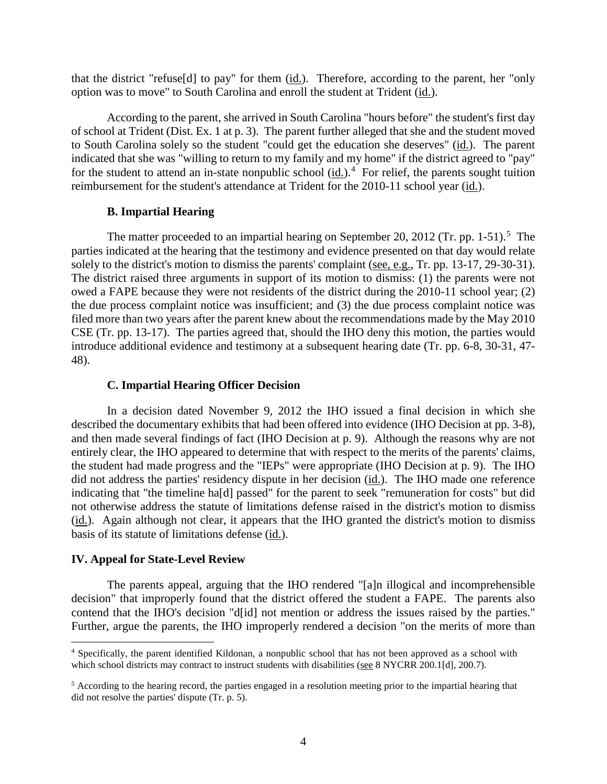that the district "refuse[d] to pay" for them  $(id.)$ . Therefore, according to the parent, her "only option was to move" to South Carolina and enroll the student at Trident (id.).

According to the parent, she arrived in South Carolina "hours before" the student's first day of school at Trident (Dist. Ex. 1 at p. 3). The parent further alleged that she and the student moved to South Carolina solely so the student "could get the education she deserves" (id.). The parent indicated that she was "willing to return to my family and my home" if the district agreed to "pay" for the student to attend an in-state nonpublic school  $(id.)$ <sup>4</sup> For relief, the parents sought tuition reimbursement for the student's attendance at Trident for the 2010-11 school year (id.).

#### **B. Impartial Hearing**

The matter proceeded to an impartial hearing on September 20, 2012 (Tr. pp. 1-51).<sup>5</sup> The parties indicated at the hearing that the testimony and evidence presented on that day would relate solely to the district's motion to dismiss the parents' complaint (see, e.g., Tr. pp. 13-17, 29-30-31). The district raised three arguments in support of its motion to dismiss: (1) the parents were not owed a FAPE because they were not residents of the district during the 2010-11 school year; (2) the due process complaint notice was insufficient; and (3) the due process complaint notice was filed more than two years after the parent knew about the recommendations made by the May 2010 CSE (Tr. pp. 13-17). The parties agreed that, should the IHO deny this motion, the parties would introduce additional evidence and testimony at a subsequent hearing date (Tr. pp. 6-8, 30-31, 47- 48).

#### **C. Impartial Hearing Officer Decision**

In a decision dated November 9, 2012 the IHO issued a final decision in which she described the documentary exhibits that had been offered into evidence (IHO Decision at pp. 3-8), and then made several findings of fact (IHO Decision at p. 9). Although the reasons why are not entirely clear, the IHO appeared to determine that with respect to the merits of the parents' claims, the student had made progress and the "IEPs" were appropriate (IHO Decision at p. 9). The IHO did not address the parties' residency dispute in her decision (id.). The IHO made one reference indicating that "the timeline ha[d] passed" for the parent to seek "remuneration for costs" but did not otherwise address the statute of limitations defense raised in the district's motion to dismiss (id.). Again although not clear, it appears that the IHO granted the district's motion to dismiss basis of its statute of limitations defense (id.).

#### **IV. Appeal for State-Level Review**

The parents appeal, arguing that the IHO rendered "[a]n illogical and incomprehensible decision" that improperly found that the district offered the student a FAPE. The parents also contend that the IHO's decision "d[id] not mention or address the issues raised by the parties." Further, argue the parents, the IHO improperly rendered a decision "on the merits of more than

 <sup>4</sup> Specifically, the parent identified Kildonan, a nonpublic school that has not been approved as a school with which school districts may contract to instruct students with disabilities (see 8 NYCRR 200.1[d], 200.7).

<sup>&</sup>lt;sup>5</sup> According to the hearing record, the parties engaged in a resolution meeting prior to the impartial hearing that did not resolve the parties' dispute (Tr. p. 5).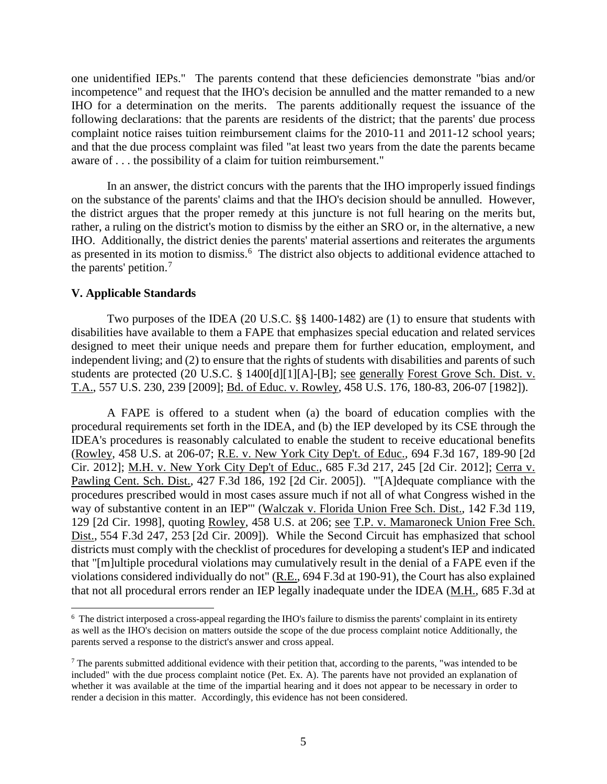one unidentified IEPs." The parents contend that these deficiencies demonstrate "bias and/or incompetence" and request that the IHO's decision be annulled and the matter remanded to a new IHO for a determination on the merits. The parents additionally request the issuance of the following declarations: that the parents are residents of the district; that the parents' due process complaint notice raises tuition reimbursement claims for the 2010-11 and 2011-12 school years; and that the due process complaint was filed "at least two years from the date the parents became aware of . . . the possibility of a claim for tuition reimbursement."

In an answer, the district concurs with the parents that the IHO improperly issued findings on the substance of the parents' claims and that the IHO's decision should be annulled. However, the district argues that the proper remedy at this juncture is not full hearing on the merits but, rather, a ruling on the district's motion to dismiss by the either an SRO or, in the alternative, a new IHO. Additionally, the district denies the parents' material assertions and reiterates the arguments as presented in its motion to dismiss.<sup>6</sup> The district also objects to additional evidence attached to the parents' petition.<sup>7</sup>

#### **V. Applicable Standards**

Two purposes of the IDEA (20 U.S.C. §§ 1400-1482) are (1) to ensure that students with disabilities have available to them a FAPE that emphasizes special education and related services designed to meet their unique needs and prepare them for further education, employment, and independent living; and (2) to ensure that the rights of students with disabilities and parents of such students are protected (20 U.S.C. § 1400[d][1][A]-[B]; see generally Forest Grove Sch. Dist. v. T.A., 557 U.S. 230, 239 [2009]; Bd. of Educ. v. Rowley, 458 U.S. 176, 180-83, 206-07 [1982]).

A FAPE is offered to a student when (a) the board of education complies with the procedural requirements set forth in the IDEA, and (b) the IEP developed by its CSE through the IDEA's procedures is reasonably calculated to enable the student to receive educational benefits (Rowley, 458 U.S. at 206-07; R.E. v. New York City Dep't. of Educ., 694 F.3d 167, 189-90 [2d Cir. 2012]; M.H. v. New York City Dep't of Educ., 685 F.3d 217, 245 [2d Cir. 2012]; Cerra v. Pawling Cent. Sch. Dist., 427 F.3d 186, 192 [2d Cir. 2005]). "'[A]dequate compliance with the procedures prescribed would in most cases assure much if not all of what Congress wished in the way of substantive content in an IEP'" (Walczak v. Florida Union Free Sch. Dist., 142 F.3d 119, 129 [2d Cir. 1998], quoting Rowley, 458 U.S. at 206; see T.P. v. Mamaroneck Union Free Sch. Dist., 554 F.3d 247, 253 [2d Cir. 2009]). While the Second Circuit has emphasized that school districts must comply with the checklist of procedures for developing a student's IEP and indicated that "[m]ultiple procedural violations may cumulatively result in the denial of a FAPE even if the violations considered individually do not" (R.E., 694 F.3d at 190-91), the Court has also explained that not all procedural errors render an IEP legally inadequate under the IDEA (M.H., 685 F.3d at

 $\frac{1}{6}$  $6\text{ The district interpolating the IHO's failure to dismiss the parents' complaint in its entirety.}$ as well as the IHO's decision on matters outside the scope of the due process complaint notice Additionally, the parents served a response to the district's answer and cross appeal.

 $<sup>7</sup>$  The parents submitted additional evidence with their petition that, according to the parents, "was intended to be</sup> included" with the due process complaint notice (Pet. Ex. A). The parents have not provided an explanation of whether it was available at the time of the impartial hearing and it does not appear to be necessary in order to render a decision in this matter. Accordingly, this evidence has not been considered.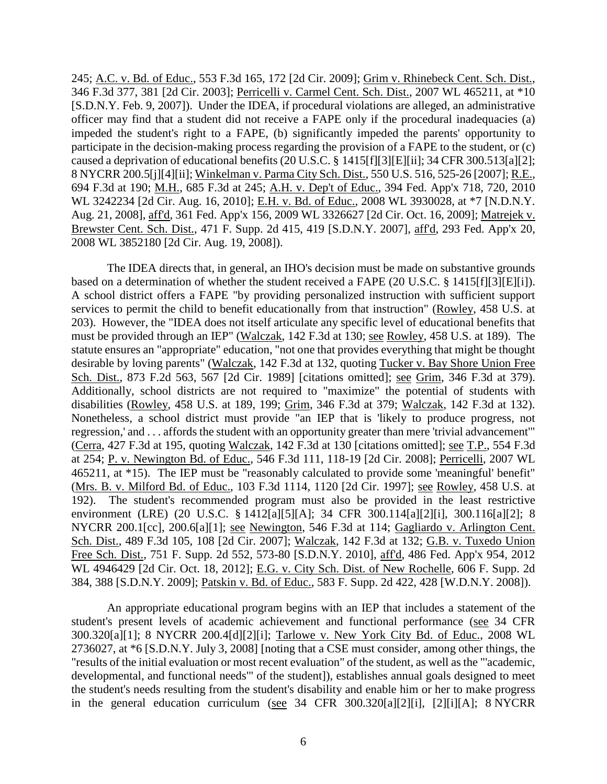245; A.C. v. Bd. of Educ., 553 F.3d 165, 172 [2d Cir. 2009]; Grim v. Rhinebeck Cent. Sch. Dist., 346 F.3d 377, 381 [2d Cir. 2003]; Perricelli v. Carmel Cent. Sch. Dist., 2007 WL 465211, at \*10 [S.D.N.Y. Feb. 9, 2007]). Under the IDEA, if procedural violations are alleged, an administrative officer may find that a student did not receive a FAPE only if the procedural inadequacies (a) impeded the student's right to a FAPE, (b) significantly impeded the parents' opportunity to participate in the decision-making process regarding the provision of a FAPE to the student, or (c) caused a deprivation of educational benefits (20 U.S.C. § 1415[f][3][E][ii]; 34 CFR 300.513[a][2]; 8 NYCRR 200.5[j][4][ii]; Winkelman v. Parma City Sch. Dist., 550 U.S. 516, 525-26 [2007]; R.E., 694 F.3d at 190; M.H., 685 F.3d at 245; A.H. v. Dep't of Educ., 394 Fed. App'x 718, 720, 2010 WL 3242234 [2d Cir. Aug. 16, 2010]; E.H. v. Bd. of Educ., 2008 WL 3930028, at \*7 [N.D.N.Y. Aug. 21, 2008], aff'd, 361 Fed. App'x 156, 2009 WL 3326627 [2d Cir. Oct. 16, 2009]; Matrejek v. Brewster Cent. Sch. Dist., 471 F. Supp. 2d 415, 419 [S.D.N.Y. 2007], aff'd, 293 Fed. App'x 20, 2008 WL 3852180 [2d Cir. Aug. 19, 2008]).

The IDEA directs that, in general, an IHO's decision must be made on substantive grounds based on a determination of whether the student received a FAPE (20 U.S.C. § 1415[f][3][E][i]). A school district offers a FAPE "by providing personalized instruction with sufficient support services to permit the child to benefit educationally from that instruction" (Rowley, 458 U.S. at 203). However, the "IDEA does not itself articulate any specific level of educational benefits that must be provided through an IEP" (Walczak, 142 F.3d at 130; see Rowley, 458 U.S. at 189). The statute ensures an "appropriate" education, "not one that provides everything that might be thought desirable by loving parents" (Walczak, 142 F.3d at 132, quoting Tucker v. Bay Shore Union Free Sch. Dist., 873 F.2d 563, 567 [2d Cir. 1989] [citations omitted]; see Grim, 346 F.3d at 379). Additionally, school districts are not required to "maximize" the potential of students with disabilities (Rowley, 458 U.S. at 189, 199; Grim, 346 F.3d at 379; Walczak, 142 F.3d at 132). Nonetheless, a school district must provide "an IEP that is 'likely to produce progress, not regression,' and . . . affords the student with an opportunity greater than mere 'trivial advancement'" (Cerra, 427 F.3d at 195, quoting Walczak, 142 F.3d at 130 [citations omitted]; see T.P., 554 F.3d at 254; P. v. Newington Bd. of Educ., 546 F.3d 111, 118-19 [2d Cir. 2008]; Perricelli, 2007 WL 465211, at \*15). The IEP must be "reasonably calculated to provide some 'meaningful' benefit" (Mrs. B. v. Milford Bd. of Educ., 103 F.3d 1114, 1120 [2d Cir. 1997]; see Rowley, 458 U.S. at 192). The student's recommended program must also be provided in the least restrictive environment (LRE) (20 U.S.C. § 1412[a][5][A]; 34 CFR 300.114[a][2][i], 300.116[a][2]; 8 NYCRR 200.1[cc], 200.6[a][1]; see Newington, 546 F.3d at 114; Gagliardo v. Arlington Cent. Sch. Dist., 489 F.3d 105, 108 [2d Cir. 2007]; Walczak, 142 F.3d at 132; G.B. v. Tuxedo Union Free Sch. Dist., 751 F. Supp. 2d 552, 573-80 [S.D.N.Y. 2010], aff'd, 486 Fed. App'x 954, 2012 WL 4946429 [2d Cir. Oct. 18, 2012]; E.G. v. City Sch. Dist. of New Rochelle, 606 F. Supp. 2d 384, 388 [S.D.N.Y. 2009]; Patskin v. Bd. of Educ., 583 F. Supp. 2d 422, 428 [W.D.N.Y. 2008]).

An appropriate educational program begins with an IEP that includes a statement of the student's present levels of academic achievement and functional performance (see 34 CFR 300.320[a][1]; 8 NYCRR 200.4[d][2][i]; Tarlowe v. New York City Bd. of Educ., 2008 WL 2736027, at \*6 [S.D.N.Y. July 3, 2008] [noting that a CSE must consider, among other things, the "results of the initial evaluation or most recent evaluation" of the student, as well as the "'academic, developmental, and functional needs'" of the student]), establishes annual goals designed to meet the student's needs resulting from the student's disability and enable him or her to make progress in the general education curriculum (see 34 CFR 300.320[a][2][i], [2][i][A]; 8 NYCRR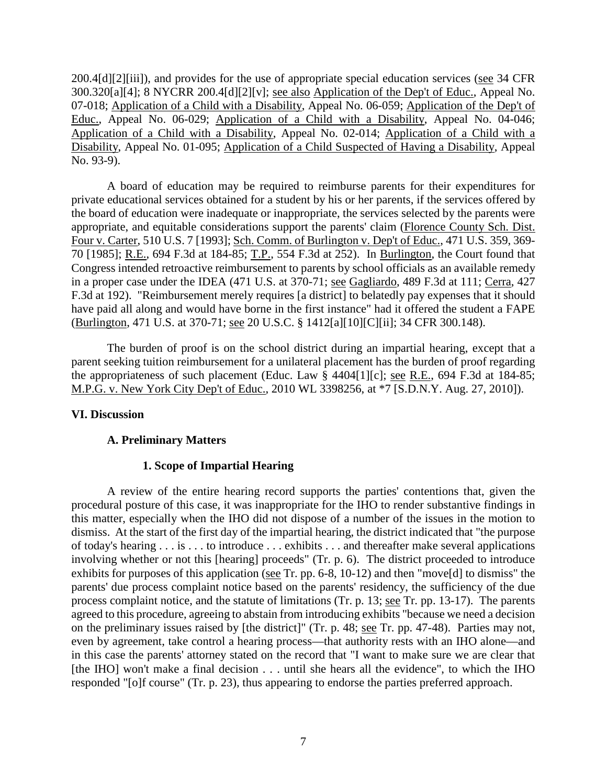200.4[d][2][iii]), and provides for the use of appropriate special education services (see 34 CFR 300.320[a][4]; 8 NYCRR 200.4[d][2][v]; see also Application of the Dep't of Educ., Appeal No. 07-018; Application of a Child with a Disability, Appeal No. 06-059; Application of the Dep't of Educ., Appeal No. 06-029; Application of a Child with a Disability, Appeal No. 04-046; Application of a Child with a Disability, Appeal No. 02-014; Application of a Child with a Disability, Appeal No. 01-095; Application of a Child Suspected of Having a Disability, Appeal No. 93-9).

A board of education may be required to reimburse parents for their expenditures for private educational services obtained for a student by his or her parents, if the services offered by the board of education were inadequate or inappropriate, the services selected by the parents were appropriate, and equitable considerations support the parents' claim (Florence County Sch. Dist. Four v. Carter, 510 U.S. 7 [1993]; Sch. Comm. of Burlington v. Dep't of Educ., 471 U.S. 359, 369- 70 [1985]; R.E., 694 F.3d at 184-85; T.P., 554 F.3d at 252). In Burlington, the Court found that Congress intended retroactive reimbursement to parents by school officials as an available remedy in a proper case under the IDEA (471 U.S. at 370-71; see Gagliardo, 489 F.3d at 111; Cerra, 427 F.3d at 192). "Reimbursement merely requires [a district] to belatedly pay expenses that it should have paid all along and would have borne in the first instance" had it offered the student a FAPE (Burlington, 471 U.S. at 370-71; see 20 U.S.C. § 1412[a][10][C][ii]; 34 CFR 300.148).

The burden of proof is on the school district during an impartial hearing, except that a parent seeking tuition reimbursement for a unilateral placement has the burden of proof regarding the appropriateness of such placement (Educ. Law § 4404[1][c]; see R.E., 694 F.3d at 184-85; M.P.G. v. New York City Dep't of Educ., 2010 WL 3398256, at \*7 [S.D.N.Y. Aug. 27, 2010]).

#### **VI. Discussion**

#### **A. Preliminary Matters**

## **1. Scope of Impartial Hearing**

A review of the entire hearing record supports the parties' contentions that, given the procedural posture of this case, it was inappropriate for the IHO to render substantive findings in this matter, especially when the IHO did not dispose of a number of the issues in the motion to dismiss. At the start of the first day of the impartial hearing, the district indicated that "the purpose of today's hearing . . . is . . . to introduce . . . exhibits . . . and thereafter make several applications involving whether or not this [hearing] proceeds" (Tr. p. 6). The district proceeded to introduce exhibits for purposes of this application (see Tr. pp. 6-8, 10-12) and then "move[d] to dismiss" the parents' due process complaint notice based on the parents' residency, the sufficiency of the due process complaint notice, and the statute of limitations (Tr. p. 13; see Tr. pp. 13-17). The parents agreed to this procedure, agreeing to abstain from introducing exhibits "because we need a decision on the preliminary issues raised by [the district]" (Tr. p. 48; see Tr. pp. 47-48). Parties may not, even by agreement, take control a hearing process—that authority rests with an IHO alone—and in this case the parents' attorney stated on the record that "I want to make sure we are clear that [the IHO] won't make a final decision . . . until she hears all the evidence", to which the IHO responded "[o]f course" (Tr. p. 23), thus appearing to endorse the parties preferred approach.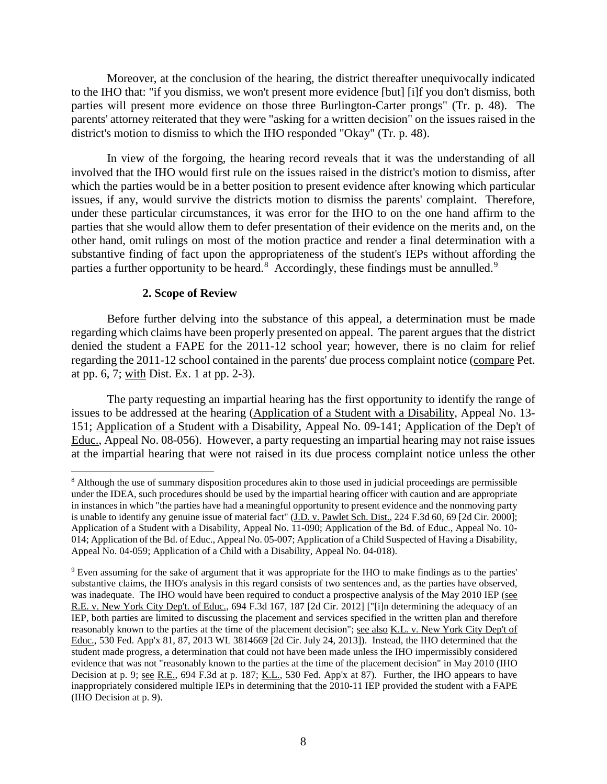Moreover, at the conclusion of the hearing, the district thereafter unequivocally indicated to the IHO that: "if you dismiss, we won't present more evidence [but] [i]f you don't dismiss, both parties will present more evidence on those three Burlington-Carter prongs" (Tr. p. 48). The parents' attorney reiterated that they were "asking for a written decision" on the issues raised in the district's motion to dismiss to which the IHO responded "Okay" (Tr. p. 48).

In view of the forgoing, the hearing record reveals that it was the understanding of all involved that the IHO would first rule on the issues raised in the district's motion to dismiss, after which the parties would be in a better position to present evidence after knowing which particular issues, if any, would survive the districts motion to dismiss the parents' complaint. Therefore, under these particular circumstances, it was error for the IHO to on the one hand affirm to the parties that she would allow them to defer presentation of their evidence on the merits and, on the other hand, omit rulings on most of the motion practice and render a final determination with a substantive finding of fact upon the appropriateness of the student's IEPs without affording the parties a further opportunity to be heard.<sup>8</sup> Accordingly, these findings must be annulled.<sup>9</sup>

#### **2. Scope of Review**

Before further delving into the substance of this appeal, a determination must be made regarding which claims have been properly presented on appeal. The parent argues that the district denied the student a FAPE for the 2011-12 school year; however, there is no claim for relief regarding the 2011-12 school contained in the parents' due process complaint notice (compare Pet. at pp. 6, 7; with Dist. Ex. 1 at pp. 2-3).

The party requesting an impartial hearing has the first opportunity to identify the range of issues to be addressed at the hearing (Application of a Student with a Disability, Appeal No. 13- 151; Application of a Student with a Disability, Appeal No. 09-141; Application of the Dep't of Educ., Appeal No. 08-056). However, a party requesting an impartial hearing may not raise issues at the impartial hearing that were not raised in its due process complaint notice unless the other

 <sup>8</sup> Although the use of summary disposition procedures akin to those used in judicial proceedings are permissible under the IDEA, such procedures should be used by the impartial hearing officer with caution and are appropriate in instances in which "the parties have had a meaningful opportunity to present evidence and the nonmoving party is unable to identify any genuine issue of material fact" (J.D. v. Pawlet Sch. Dist., 224 F.3d 60, 69 [2d Cir. 2000]; Application of a Student with a Disability, Appeal No. 11-090; Application of the Bd. of Educ., Appeal No. 10- 014; Application of the Bd. of Educ., Appeal No. 05-007; Application of a Child Suspected of Having a Disability, Appeal No. 04-059; Application of a Child with a Disability, Appeal No. 04-018).

<sup>9</sup> Even assuming for the sake of argument that it was appropriate for the IHO to make findings as to the parties' substantive claims, the IHO's analysis in this regard consists of two sentences and, as the parties have observed, was inadequate. The IHO would have been required to conduct a prospective analysis of the May 2010 IEP (see R.E. v. New York City Dep't. of Educ., 694 F.3d 167, 187 [2d Cir. 2012] ["[i]n determining the adequacy of an IEP, both parties are limited to discussing the placement and services specified in the written plan and therefore reasonably known to the parties at the time of the placement decision"; see also K.L. v. New York City Dep't of Educ., 530 Fed. App'x 81, 87, 2013 WL 3814669 [2d Cir. July 24, 2013]). Instead, the IHO determined that the student made progress, a determination that could not have been made unless the IHO impermissibly considered evidence that was not "reasonably known to the parties at the time of the placement decision" in May 2010 (IHO Decision at p. 9; <u>see R.E.</u>, 694 F.3d at p. 187; K.L., 530 Fed. App'x at 87). Further, the IHO appears to have inappropriately considered multiple IEPs in determining that the 2010-11 IEP provided the student with a FAPE (IHO Decision at p. 9).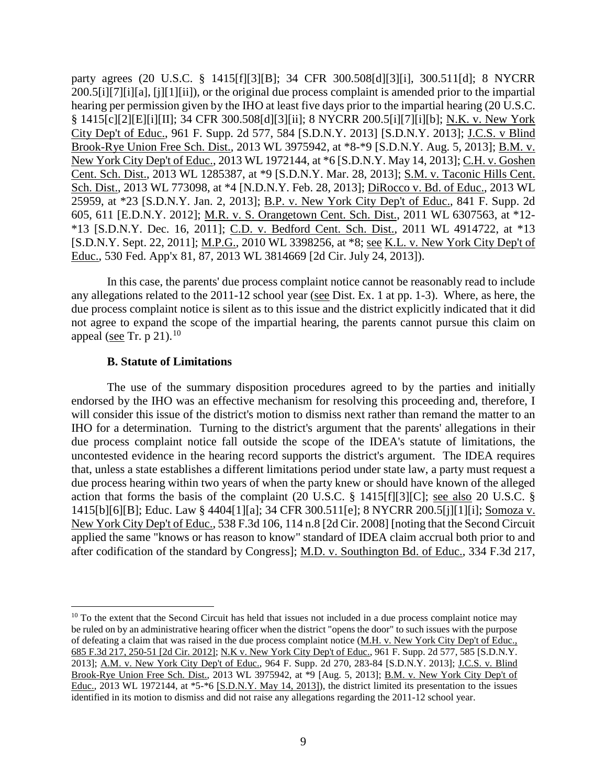party agrees (20 U.S.C. § 1415[f][3][B]; 34 CFR 300.508[d][3][i], 300.511[d]; 8 NYCRR 200.5[i][7][i][a], [j][1][ii]), or the original due process complaint is amended prior to the impartial hearing per permission given by the IHO at least five days prior to the impartial hearing (20 U.S.C. § 1415[c][2][E][i][II]; 34 CFR 300.508[d][3][ii]; 8 NYCRR 200.5[i][7][i][b]; N.K. v. New York City Dep't of Educ., 961 F. Supp. 2d 577, 584 [S.D.N.Y. 2013] [S.D.N.Y. 2013]; J.C.S. v Blind Brook-Rye Union Free Sch. Dist., 2013 WL 3975942, at \*8-\*9 [S.D.N.Y. Aug. 5, 2013]; B.M. v. New York City Dep't of Educ., 2013 WL 1972144, at \*6 [S.D.N.Y. May 14, 2013]; C.H. v. Goshen Cent. Sch. Dist., 2013 WL 1285387, at \*9 [S.D.N.Y. Mar. 28, 2013]; S.M. v. Taconic Hills Cent. Sch. Dist., 2013 WL 773098, at \*4 [N.D.N.Y. Feb. 28, 2013]; DiRocco v. Bd. of Educ., 2013 WL 25959, at \*23 [S.D.N.Y. Jan. 2, 2013]; B.P. v. New York City Dep't of Educ., 841 F. Supp. 2d 605, 611 [E.D.N.Y. 2012]; M.R. v. S. Orangetown Cent. Sch. Dist., 2011 WL 6307563, at \*12- \*13 [S.D.N.Y. Dec. 16, 2011]; C.D. v. Bedford Cent. Sch. Dist., 2011 WL 4914722, at \*13 [S.D.N.Y. Sept. 22, 2011]; M.P.G., 2010 WL 3398256, at \*8; see K.L. v. New York City Dep't of Educ., 530 Fed. App'x 81, 87, 2013 WL 3814669 [2d Cir. July 24, 2013]).

In this case, the parents' due process complaint notice cannot be reasonably read to include any allegations related to the 2011-12 school year (see Dist. Ex. 1 at pp. 1-3). Where, as here, the due process complaint notice is silent as to this issue and the district explicitly indicated that it did not agree to expand the scope of the impartial hearing, the parents cannot pursue this claim on appeal (see Tr. p 21). $^{10}$ 

#### **B. Statute of Limitations**

The use of the summary disposition procedures agreed to by the parties and initially endorsed by the IHO was an effective mechanism for resolving this proceeding and, therefore, I will consider this issue of the district's motion to dismiss next rather than remand the matter to an IHO for a determination. Turning to the district's argument that the parents' allegations in their due process complaint notice fall outside the scope of the IDEA's statute of limitations, the uncontested evidence in the hearing record supports the district's argument. The IDEA requires that, unless a state establishes a different limitations period under state law, a party must request a due process hearing within two years of when the party knew or should have known of the alleged action that forms the basis of the complaint (20 U.S.C. § 1415[f][3][C]; see also 20 U.S.C. § 1415[b][6][B]; Educ. Law § 4404[1][a]; 34 CFR 300.511[e]; 8 NYCRR 200.5[j][1][i]; Somoza v. New York City Dep't of Educ., 538 F.3d 106, 114 n.8 [2d Cir. 2008] [noting that the Second Circuit applied the same "knows or has reason to know" standard of IDEA claim accrual both prior to and after codification of the standard by Congress]; M.D. v. Southington Bd. of Educ., 334 F.3d 217,

 $10$  To the extent that the Second Circuit has held that issues not included in a due process complaint notice may be ruled on by an administrative hearing officer when the district "opens the door" to such issues with the purpose of defeating a claim that was raised in the due process complaint notice (M.H. v. New York City Dep't of Educ., 685 F.3d 217, 250-51 [2d Cir. 2012]; N.K v. New York City Dep't of Educ., 961 F. Supp. 2d 577, 585 [S.D.N.Y. 2013]; A.M. v. New York City Dep't of Educ., 964 F. Supp. 2d 270, 283-84 [S.D.N.Y. 2013]; J.C.S. v. Blind Brook-Rye Union Free Sch. Dist., 2013 WL 3975942, at \*9 [Aug. 5, 2013]; B.M. v. New York City Dep't of Educ., 2013 WL 1972144, at \*5-\*6 [S.D.N.Y. May 14, 2013]), the district limited its presentation to the issues identified in its motion to dismiss and did not raise any allegations regarding the 2011-12 school year.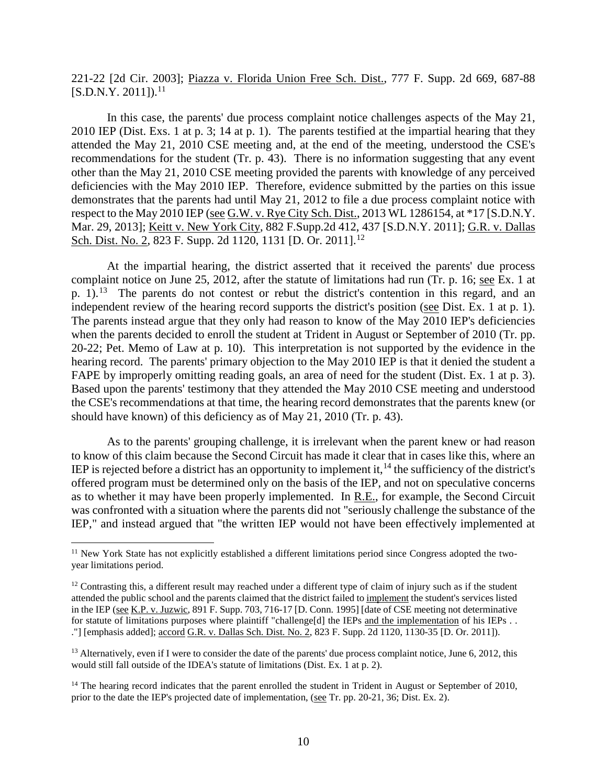221-22 [2d Cir. 2003]; Piazza v. Florida Union Free Sch. Dist., 777 F. Supp. 2d 669, 687-88  $[S.D.N.Y. 2011]$ <sup>11</sup>

In this case, the parents' due process complaint notice challenges aspects of the May 21, 2010 IEP (Dist. Exs. 1 at p. 3; 14 at p. 1). The parents testified at the impartial hearing that they attended the May 21, 2010 CSE meeting and, at the end of the meeting, understood the CSE's recommendations for the student (Tr. p. 43). There is no information suggesting that any event other than the May 21, 2010 CSE meeting provided the parents with knowledge of any perceived deficiencies with the May 2010 IEP. Therefore, evidence submitted by the parties on this issue demonstrates that the parents had until May 21, 2012 to file a due process complaint notice with respect to the May 2010 IEP (see G.W. v. Rye City Sch. Dist., 2013 WL 1286154, at \*17 [S.D.N.Y. Mar. 29, 2013]; Keitt v. New York City, 882 F.Supp.2d 412, 437 [S.D.N.Y. 2011]; G.R. v. Dallas Sch. Dist. No. 2, 823 F. Supp. 2d 1120, 1131 [D. Or. 2011].<sup>12</sup>

At the impartial hearing, the district asserted that it received the parents' due process complaint notice on June 25, 2012, after the statute of limitations had run (Tr. p. 16; see Ex. 1 at p. 1).<sup>13</sup> The parents do not contest or rebut the district's contention in this regard, and an independent review of the hearing record supports the district's position (see Dist. Ex. 1 at p. 1). The parents instead argue that they only had reason to know of the May 2010 IEP's deficiencies when the parents decided to enroll the student at Trident in August or September of 2010 (Tr. pp. 20-22; Pet. Memo of Law at p. 10). This interpretation is not supported by the evidence in the hearing record. The parents' primary objection to the May 2010 IEP is that it denied the student a FAPE by improperly omitting reading goals, an area of need for the student (Dist. Ex. 1 at p. 3). Based upon the parents' testimony that they attended the May 2010 CSE meeting and understood the CSE's recommendations at that time, the hearing record demonstrates that the parents knew (or should have known) of this deficiency as of May 21, 2010 (Tr. p. 43).

As to the parents' grouping challenge, it is irrelevant when the parent knew or had reason to know of this claim because the Second Circuit has made it clear that in cases like this, where an IEP is rejected before a district has an opportunity to implement it,  $14$  the sufficiency of the district's offered program must be determined only on the basis of the IEP, and not on speculative concerns as to whether it may have been properly implemented. In R.E., for example, the Second Circuit was confronted with a situation where the parents did not "seriously challenge the substance of the IEP," and instead argued that "the written IEP would not have been effectively implemented at

<sup>&</sup>lt;sup>11</sup> New York State has not explicitly established a different limitations period since Congress adopted the twoyear limitations period.

 $12$  Contrasting this, a different result may reached under a different type of claim of injury such as if the student attended the public school and the parents claimed that the district failed to implement the student's services listed in the IEP (see K.P. v. Juzwic, 891 F. Supp. 703, 716-17 [D. Conn. 1995] [date of CSE meeting not determinative for statute of limitations purposes where plaintiff "challenge[d] the IEPs and the implementation of his IEPs . . ."] [emphasis added]; accord G.R. v. Dallas Sch. Dist. No. 2, 823 F. Supp. 2d 1120, 1130-35 [D. Or. 2011]).

 $<sup>13</sup>$  Alternatively, even if I were to consider the date of the parents' due process complaint notice, June 6, 2012, this</sup> would still fall outside of the IDEA's statute of limitations (Dist. Ex. 1 at p. 2).

<sup>&</sup>lt;sup>14</sup> The hearing record indicates that the parent enrolled the student in Trident in August or September of 2010, prior to the date the IEP's projected date of implementation, (see Tr. pp. 20-21, 36; Dist. Ex. 2).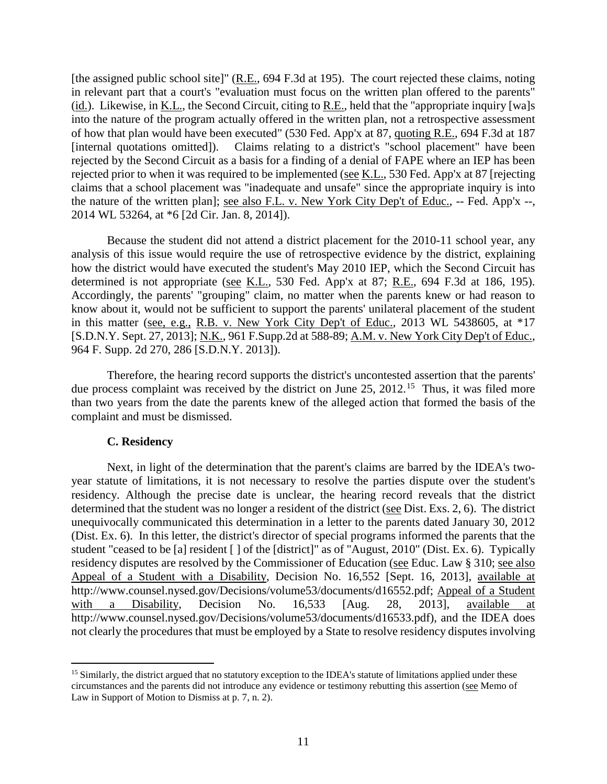[the assigned public school site]" (R.E., 694 F.3d at 195). The court rejected these claims, noting in relevant part that a court's "evaluation must focus on the written plan offered to the parents" (id.). Likewise, in K.L., the Second Circuit, citing to R.E., held that the "appropriate inquiry [wa]s into the nature of the program actually offered in the written plan, not a retrospective assessment of how that plan would have been executed" (530 Fed. App'x at 87, quoting R.E., 694 F.3d at 187 [internal quotations omitted]). Claims relating to a district's "school placement" have been rejected by the Second Circuit as a basis for a finding of a denial of FAPE where an IEP has been rejected prior to when it was required to be implemented (see K.L., 530 Fed. App'x at 87 [rejecting claims that a school placement was "inadequate and unsafe" since the appropriate inquiry is into the nature of the written plan]; see also F.L. v. New York City Dep't of Educ., -- Fed. App'x --, 2014 WL 53264, at \*6 [2d Cir. Jan. 8, 2014]).

Because the student did not attend a district placement for the 2010-11 school year, any analysis of this issue would require the use of retrospective evidence by the district, explaining how the district would have executed the student's May 2010 IEP, which the Second Circuit has determined is not appropriate (see K.L., 530 Fed. App'x at 87; R.E., 694 F.3d at 186, 195). Accordingly, the parents' "grouping" claim, no matter when the parents knew or had reason to know about it, would not be sufficient to support the parents' unilateral placement of the student in this matter (see, e.g., R.B. v. New York City Dep't of Educ., 2013 WL 5438605, at \*17 [S.D.N.Y. Sept. 27, 2013]; N.K., 961 F.Supp.2d at 588-89; A.M. v. New York City Dep't of Educ., 964 F. Supp. 2d 270, 286 [S.D.N.Y. 2013]).

Therefore, the hearing record supports the district's uncontested assertion that the parents' due process complaint was received by the district on June 25, 2012.<sup>15</sup> Thus, it was filed more than two years from the date the parents knew of the alleged action that formed the basis of the complaint and must be dismissed.

#### **C. Residency**

Next, in light of the determination that the parent's claims are barred by the IDEA's twoyear statute of limitations, it is not necessary to resolve the parties dispute over the student's residency. Although the precise date is unclear, the hearing record reveals that the district determined that the student was no longer a resident of the district (see Dist. Exs. 2, 6). The district unequivocally communicated this determination in a letter to the parents dated January 30, 2012 (Dist. Ex. 6). In this letter, the district's director of special programs informed the parents that the student "ceased to be [a] resident [ ] of the [district]" as of "August, 2010" (Dist. Ex. 6). Typically residency disputes are resolved by the Commissioner of Education (see Educ. Law § 310; see also Appeal of a Student with a Disability, Decision No. 16,552 [Sept. 16, 2013], available at http://www.counsel.nysed.gov/Decisions/volume53/documents/d16552.pdf; Appeal of a Student with a Disability, Decision No. 16,533 [Aug. 28, 2013], available at http://www.counsel.nysed.gov/Decisions/volume53/documents/d16533.pdf), and the IDEA does not clearly the procedures that must be employed by a State to resolve residency disputes involving

<sup>&</sup>lt;sup>15</sup> Similarly, the district argued that no statutory exception to the IDEA's statute of limitations applied under these circumstances and the parents did not introduce any evidence or testimony rebutting this assertion (see Memo of Law in Support of Motion to Dismiss at p. 7, n. 2).